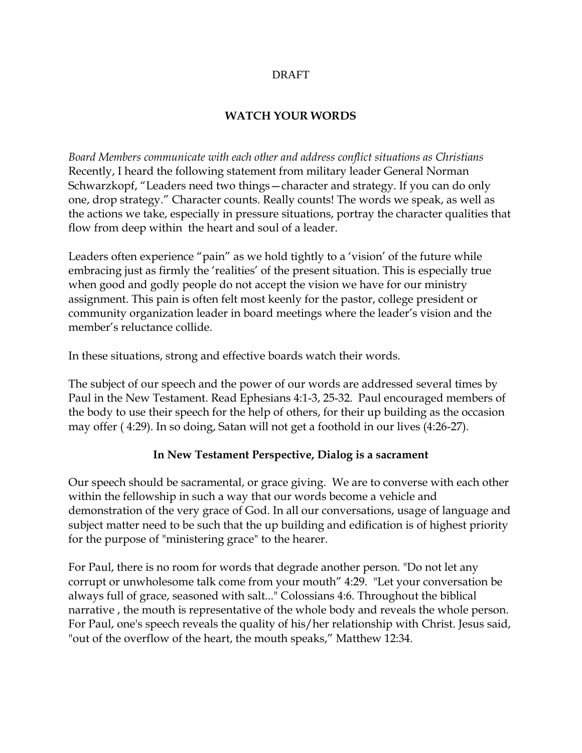#### DRAFT

### **WATCH YOUR WORDS**

*Board Members communicate with each other and address conflict situations as Christians* Recently, I heard the following statement from military leader General Norman Schwarzkopf, "Leaders need two things—character and strategy. If you can do only one, drop strategy." Character counts. Really counts! The words we speak, as well as the actions we take, especially in pressure situations, portray the character qualities that flow from deep within the heart and soul of a leader.

Leaders often experience "pain" as we hold tightly to a 'vision' of the future while embracing just as firmly the 'realities' of the present situation. This is especially true when good and godly people do not accept the vision we have for our ministry assignment. This pain is often felt most keenly for the pastor, college president or community organization leader in board meetings where the leader's vision and the member's reluctance collide.

In these situations, strong and effective boards watch their words.

The subject of our speech and the power of our words are addressed several times by Paul in the New Testament. Read Ephesians 4:1-3, 25-32. Paul encouraged members of the body to use their speech for the help of others, for their up building as the occasion may offer ( 4:29). In so doing, Satan will not get a foothold in our lives (4:26-27).

### **In New Testament Perspective, Dialog is a sacrament**

Our speech should be sacramental, or grace giving. We are to converse with each other within the fellowship in such a way that our words become a vehicle and demonstration of the very grace of God. In all our conversations, usage of language and subject matter need to be such that the up building and edification is of highest priority for the purpose of "ministering grace" to the hearer.

For Paul, there is no room for words that degrade another person. "Do not let any corrupt or unwholesome talk come from your mouth" 4:29. "Let your conversation be always full of grace, seasoned with salt..." Colossians 4:6. Throughout the biblical narrative , the mouth is representative of the whole body and reveals the whole person. For Paul, one's speech reveals the quality of his/her relationship with Christ. Jesus said, "out of the overflow of the heart, the mouth speaks," Matthew 12:34.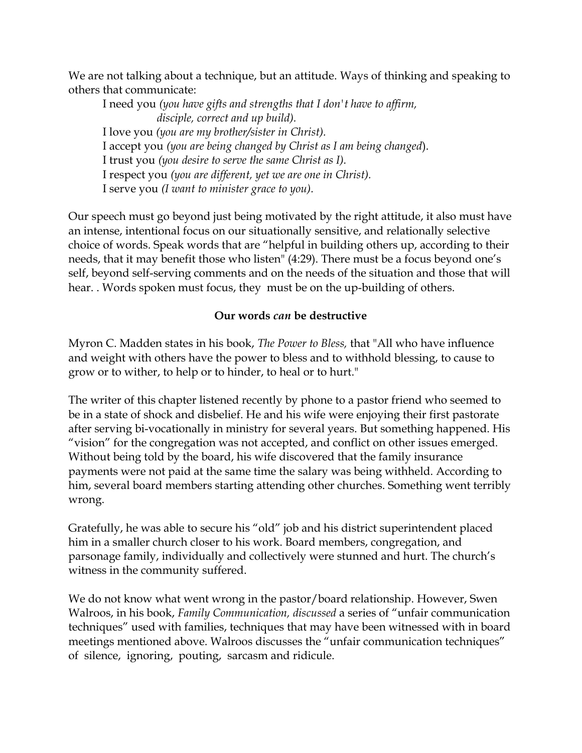We are not talking about a technique, but an attitude. Ways of thinking and speaking to others that communicate:

I need you *(you have gifts and strengths that I don't have to affirm, disciple, correct and up build).* I love you *(you are my brother/sister in Christ).* I accept you *(you are being changed by Christ as I am being changed*). I trust you *(you desire to serve the same Christ as I).* I respect you *(you are different, yet we are one in Christ).* I serve you *(I want to minister grace to you).*

Our speech must go beyond just being motivated by the right attitude, it also must have an intense, intentional focus on our situationally sensitive, and relationally selective choice of words. Speak words that are "helpful in building others up, according to their needs, that it may benefit those who listen" (4:29). There must be a focus beyond one's self, beyond self-serving comments and on the needs of the situation and those that will hear. . Words spoken must focus, they must be on the up-building of others.

### **Our words** *can* **be destructive**

Myron C. Madden states in his book, *The Power to Bless,* that "All who have influence and weight with others have the power to bless and to withhold blessing, to cause to grow or to wither, to help or to hinder, to heal or to hurt."

The writer of this chapter listened recently by phone to a pastor friend who seemed to be in a state of shock and disbelief. He and his wife were enjoying their first pastorate after serving bi-vocationally in ministry for several years. But something happened. His "vision" for the congregation was not accepted, and conflict on other issues emerged. Without being told by the board, his wife discovered that the family insurance payments were not paid at the same time the salary was being withheld. According to him, several board members starting attending other churches. Something went terribly wrong.

Gratefully, he was able to secure his "old" job and his district superintendent placed him in a smaller church closer to his work. Board members, congregation, and parsonage family, individually and collectively were stunned and hurt. The church's witness in the community suffered.

We do not know what went wrong in the pastor/board relationship. However, Swen Walroos, in his book, *Family Communication, discussed* a series of "unfair communication techniques" used with families, techniques that may have been witnessed with in board meetings mentioned above. Walroos discusses the "unfair communication techniques" of silence, ignoring, pouting, sarcasm and ridicule.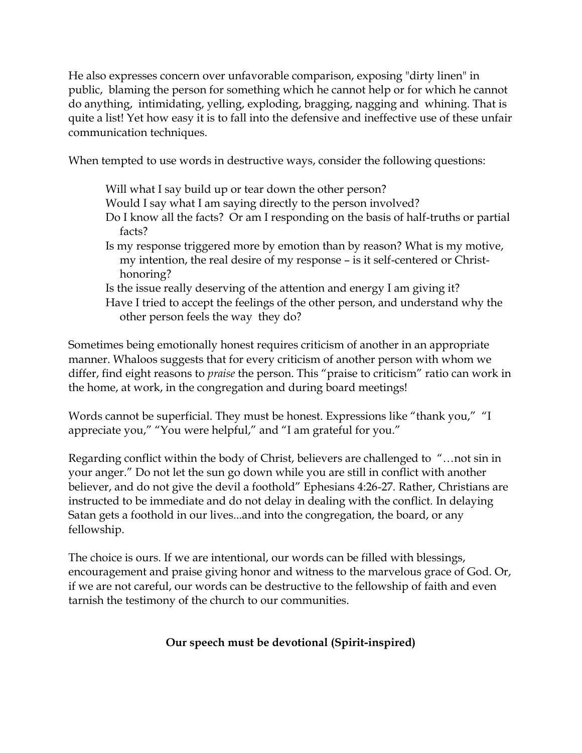He also expresses concern over unfavorable comparison, exposing "dirty linen" in public, blaming the person for something which he cannot help or for which he cannot do anything, intimidating, yelling, exploding, bragging, nagging and whining. That is quite a list! Yet how easy it is to fall into the defensive and ineffective use of these unfair communication techniques.

When tempted to use words in destructive ways, consider the following questions:

- Will what I say build up or tear down the other person?
- Would I say what I am saying directly to the person involved?
- Do I know all the facts? Or am I responding on the basis of half-truths or partial facts?
- Is my response triggered more by emotion than by reason? What is my motive, my intention, the real desire of my response – is it self-centered or Christ honoring?
- Is the issue really deserving of the attention and energy I am giving it?
- Have I tried to accept the feelings of the other person, and understand why the other person feels the way they do?

Sometimes being emotionally honest requires criticism of another in an appropriate manner. Whaloos suggests that for every criticism of another person with whom we differ, find eight reasons to *praise* the person. This "praise to criticism" ratio can work in the home, at work, in the congregation and during board meetings!

Words cannot be superficial. They must be honest. Expressions like "thank you," "I appreciate you," "You were helpful," and "I am grateful for you."

Regarding conflict within the body of Christ, believers are challenged to "…not sin in your anger." Do not let the sun go down while you are still in conflict with another believer, and do not give the devil a foothold" Ephesians 4:26-27*.* Rather, Christians are instructed to be immediate and do not delay in dealing with the conflict. In delaying Satan gets a foothold in our lives...and into the congregation, the board, or any fellowship.

The choice is ours. If we are intentional, our words can be filled with blessings, encouragement and praise giving honor and witness to the marvelous grace of God. Or, if we are not careful, our words can be destructive to the fellowship of faith and even tarnish the testimony of the church to our communities.

# **Our speech must be devotional (Spirit-inspired)**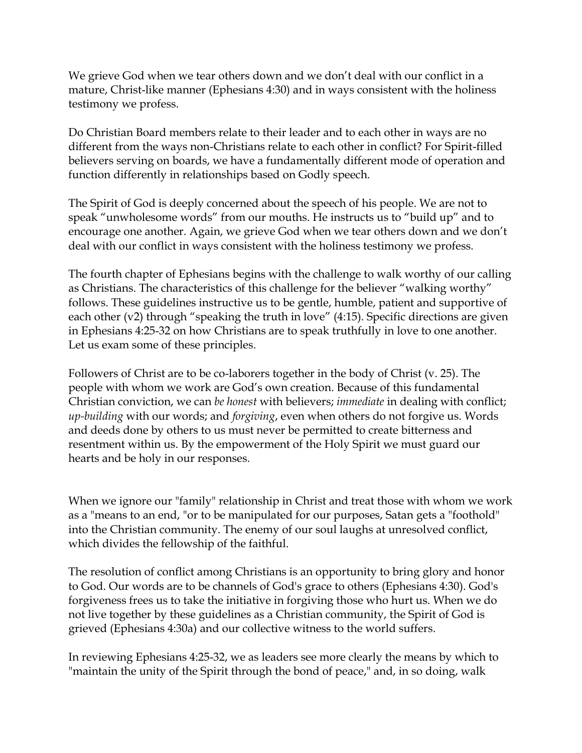We grieve God when we tear others down and we don't deal with our conflict in a mature, Christ-like manner (Ephesians 4:30) and in ways consistent with the holiness testimony we profess.

Do Christian Board members relate to their leader and to each other in ways are no different from the ways non-Christians relate to each other in conflict? For Spirit-filled believers serving on boards, we have a fundamentally different mode of operation and function differently in relationships based on Godly speech.

The Spirit of God is deeply concerned about the speech of his people. We are not to speak "unwholesome words" from our mouths. He instructs us to "build up" and to encourage one another. Again, we grieve God when we tear others down and we don't deal with our conflict in ways consistent with the holiness testimony we profess.

The fourth chapter of Ephesians begins with the challenge to walk worthy of our calling as Christians. The characteristics of this challenge for the believer "walking worthy" follows. These guidelines instructive us to be gentle, humble, patient and supportive of each other (v2) through "speaking the truth in love" (4:15). Specific directions are given in Ephesians 4:25-32 on how Christians are to speak truthfully in love to one another. Let us exam some of these principles.

Followers of Christ are to be co-laborers together in the body of Christ (v. 25). The people with whom we work are God's own creation. Because of this fundamental Christian conviction, we can *be honest* with believers; *immediate* in dealing with conflict; *up-building* with our words; and *forgiving*, even when others do not forgive us. Words and deeds done by others to us must never be permitted to create bitterness and resentment within us. By the empowerment of the Holy Spirit we must guard our hearts and be holy in our responses.

When we ignore our "family" relationship in Christ and treat those with whom we work as a "means to an end, "or to be manipulated for our purposes, Satan gets a "foothold" into the Christian community. The enemy of our soul laughs at unresolved conflict, which divides the fellowship of the faithful.

The resolution of conflict among Christians is an opportunity to bring glory and honor to God. Our words are to be channels of God's grace to others (Ephesians 4:30). God's forgiveness frees us to take the initiative in forgiving those who hurt us. When we do not live together by these guidelines as a Christian community, the Spirit of God is grieved (Ephesians 4:30a) and our collective witness to the world suffers.

In reviewing Ephesians 4:25-32, we as leaders see more clearly the means by which to "maintain the unity of the Spirit through the bond of peace," and, in so doing, walk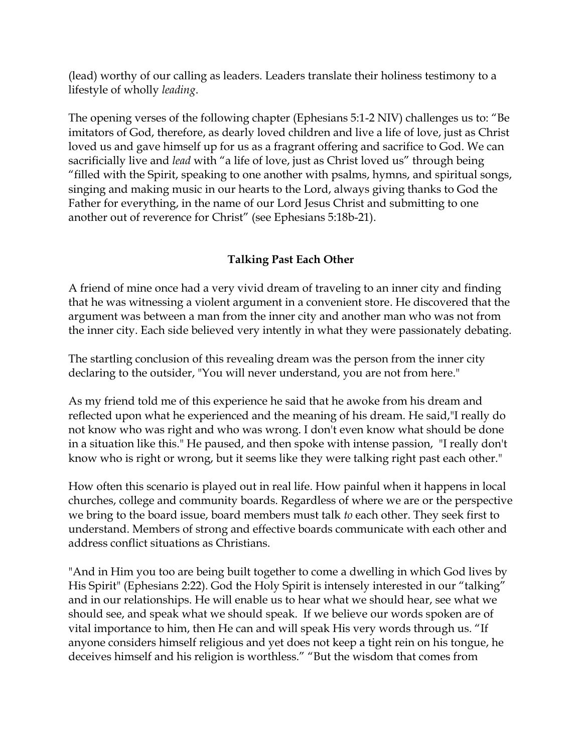(lead) worthy of our calling as leaders. Leaders translate their holiness testimony to a lifestyle of wholly *leading*.

The opening verses of the following chapter (Ephesians 5:1-2 NIV) challenges us to: "Be imitators of God, therefore, as dearly loved children and live a life of love, just as Christ loved us and gave himself up for us as a fragrant offering and sacrifice to God. We can sacrificially live and *lead* with "a life of love, just as Christ loved us" through being "filled with the Spirit, speaking to one another with psalms, hymns, and spiritual songs, singing and making music in our hearts to the Lord, always giving thanks to God the Father for everything, in the name of our Lord Jesus Christ and submitting to one another out of reverence for Christ" (see Ephesians 5:18b-21).

# **Talking Past Each Other**

A friend of mine once had a very vivid dream of traveling to an inner city and finding that he was witnessing a violent argument in a convenient store. He discovered that the argument was between a man from the inner city and another man who was not from the inner city. Each side believed very intently in what they were passionately debating.

The startling conclusion of this revealing dream was the person from the inner city declaring to the outsider, "You will never understand, you are not from here."

As my friend told me of this experience he said that he awoke from his dream and reflected upon what he experienced and the meaning of his dream. He said,"I really do not know who was right and who was wrong. I don't even know what should be done in a situation like this." He paused, and then spoke with intense passion, "I really don't know who is right or wrong, but it seems like they were talking right past each other."

How often this scenario is played out in real life. How painful when it happens in local churches, college and community boards. Regardless of where we are or the perspective we bring to the board issue, board members must talk *to* each other. They seek first to understand. Members of strong and effective boards communicate with each other and address conflict situations as Christians.

"And in Him you too are being built together to come a dwelling in which God lives by His Spirit" (Ephesians 2:22). God the Holy Spirit is intensely interested in our "talking" and in our relationships. He will enable us to hear what we should hear, see what we should see, and speak what we should speak. If we believe our words spoken are of vital importance to him, then He can and will speak His very words through us. "If anyone considers himself religious and yet does not keep a tight rein on his tongue, he deceives himself and his religion is worthless." "But the wisdom that comes from